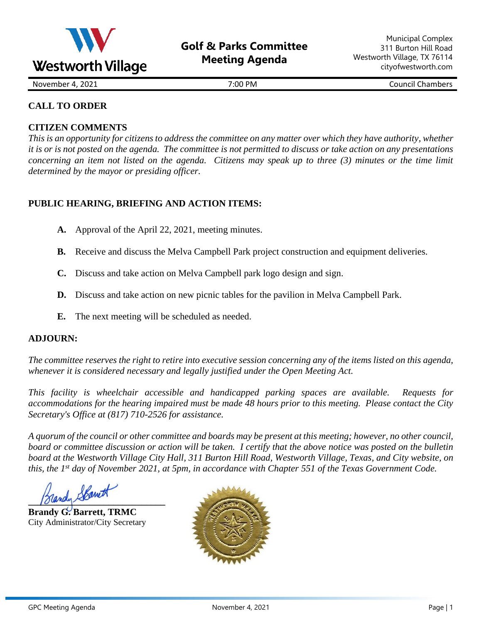

November 4, 2021 **November 4, 2021 7:00 PM Council Chambers** 

# **CALL TO ORDER**

## **CITIZEN COMMENTS**

*This is an opportunity for citizens to address the committee on any matter over which they have authority, whether it is or is not posted on the agenda. The committee is not permitted to discuss or take action on any presentations concerning an item not listed on the agenda. Citizens may speak up to three (3) minutes or the time limit determined by the mayor or presiding officer.*

# **PUBLIC HEARING, BRIEFING AND ACTION ITEMS:**

- **A.** Approval of the April 22, 2021, meeting minutes.
- **B.** Receive and discuss the Melva Campbell Park project construction and equipment deliveries.
- **C.** Discuss and take action on Melva Campbell park logo design and sign.
- **D.** Discuss and take action on new picnic tables for the pavilion in Melva Campbell Park.
- **E.** The next meeting will be scheduled as needed.

### **ADJOURN:**

*The committee reserves the right to retire into executive session concerning any of the items listed on this agenda, whenever it is considered necessary and legally justified under the Open Meeting Act.*

*This facility is wheelchair accessible and handicapped parking spaces are available. Requests for accommodations for the hearing impaired must be made 48 hours prior to this meeting. Please contact the City Secretary's Office at (817) 710-2526 for assistance.*

*A quorum of the council or other committee and boards may be present at this meeting; however, no other council, board or committee discussion or action will be taken. I certify that the above notice was posted on the bulletin board at the Westworth Village City Hall, 311 Burton Hill Road, Westworth Village, Texas, and City website, on this, the 1 st day of November 2021, at 5pm, in accordance with Chapter 551 of the Texas Government Code.* 

**\_\_\_\_\_\_\_\_\_\_\_\_\_\_\_\_\_\_\_\_\_\_\_\_\_\_\_\_\_**

**Brandy G. Barrett, TRMC** City Administrator/City Secretary

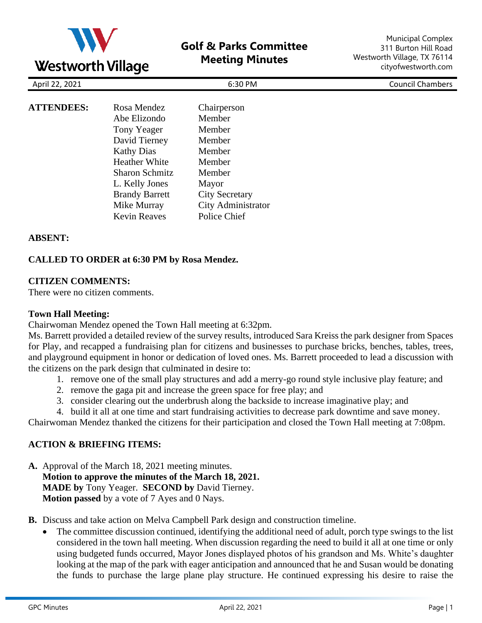

|                       |                       | <b>Council Chambers</b> |
|-----------------------|-----------------------|-------------------------|
|                       |                       |                         |
| Rosa Mendez           | Chairperson           |                         |
| Abe Elizondo          | Member                |                         |
| Tony Yeager           | Member                |                         |
| David Tierney         | Member                |                         |
| <b>Kathy Dias</b>     | Member                |                         |
| <b>Heather White</b>  | Member                |                         |
| <b>Sharon Schmitz</b> | Member                |                         |
| L. Kelly Jones        | Mayor                 |                         |
| <b>Brandy Barrett</b> | <b>City Secretary</b> |                         |
| Mike Murray           | City Administrator    |                         |
| <b>Kevin Reaves</b>   | Police Chief          |                         |
|                       |                       | 6:30 PM                 |

### **ABSENT:**

### **CALLED TO ORDER at 6:30 PM by Rosa Mendez.**

#### **CITIZEN COMMENTS:**

There were no citizen comments.

#### **Town Hall Meeting:**

Chairwoman Mendez opened the Town Hall meeting at 6:32pm.

Ms. Barrett provided a detailed review of the survey results, introduced Sara Kreiss the park designer from Spaces for Play, and recapped a fundraising plan for citizens and businesses to purchase bricks, benches, tables, trees, and playground equipment in honor or dedication of loved ones. Ms. Barrett proceeded to lead a discussion with the citizens on the park design that culminated in desire to:

- 1. remove one of the small play structures and add a merry-go round style inclusive play feature; and
- 2. remove the gaga pit and increase the green space for free play; and
- 3. consider clearing out the underbrush along the backside to increase imaginative play; and
- 4. build it all at one time and start fundraising activities to decrease park downtime and save money.

Chairwoman Mendez thanked the citizens for their participation and closed the Town Hall meeting at 7:08pm.

#### **ACTION & BRIEFING ITEMS:**

**A.** Approval of the March 18, 2021 meeting minutes. **Motion to approve the minutes of the March 18, 2021. MADE by** Tony Yeager. **SECOND by** David Tierney. **Motion passed** by a vote of 7 Ayes and 0 Nays.

**B.** Discuss and take action on Melva Campbell Park design and construction timeline.

The committee discussion continued, identifying the additional need of adult, porch type swings to the list considered in the town hall meeting. When discussion regarding the need to build it all at one time or only using budgeted funds occurred, Mayor Jones displayed photos of his grandson and Ms. White's daughter looking at the map of the park with eager anticipation and announced that he and Susan would be donating the funds to purchase the large plane play structure. He continued expressing his desire to raise the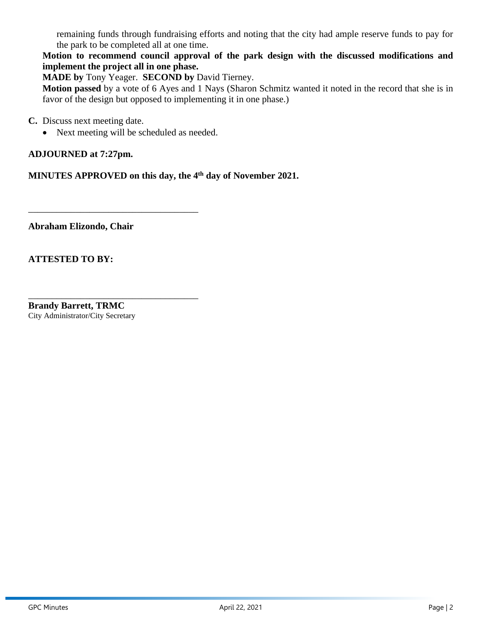remaining funds through fundraising efforts and noting that the city had ample reserve funds to pay for the park to be completed all at one time.

**Motion to recommend council approval of the park design with the discussed modifications and implement the project all in one phase.**

**MADE by** Tony Yeager. **SECOND by** David Tierney.

**Motion passed** by a vote of 6 Ayes and 1 Nays (Sharon Schmitz wanted it noted in the record that she is in favor of the design but opposed to implementing it in one phase.)

**C.** Discuss next meeting date.

• Next meeting will be scheduled as needed.

\_\_\_\_\_\_\_\_\_\_\_\_\_\_\_\_\_\_\_\_\_\_\_\_\_\_\_\_\_\_\_\_\_\_\_\_

\_\_\_\_\_\_\_\_\_\_\_\_\_\_\_\_\_\_\_\_\_\_\_\_\_\_\_\_\_\_\_\_\_\_\_\_

**ADJOURNED at 7:27pm.** 

**MINUTES APPROVED on this day, the 4 th day of November 2021.** 

**Abraham Elizondo, Chair**

**ATTESTED TO BY:** 

**Brandy Barrett, TRMC** City Administrator/City Secretary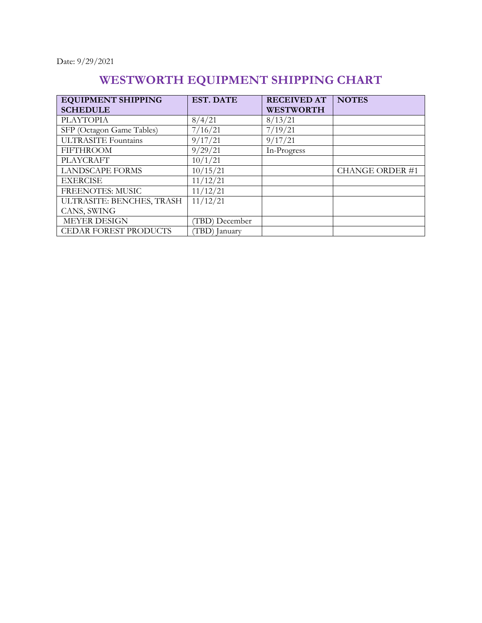Date: 9/29/2021

# **WESTWORTH EQUIPMENT SHIPPING CHART**

| <b>EQUIPMENT SHIPPING</b>    | <b>EST. DATE</b> | <b>RECEIVED AT</b> | <b>NOTES</b>          |
|------------------------------|------------------|--------------------|-----------------------|
| <b>SCHEDULE</b>              |                  | <b>WESTWORTH</b>   |                       |
| <b>PLAYTOPIA</b>             | 8/4/21           | 8/13/21            |                       |
| SFP (Octagon Game Tables)    | 7/16/21          | 7/19/21            |                       |
| <b>ULTRASITE Fountains</b>   | 9/17/21          | 9/17/21            |                       |
| <b>FIFTHROOM</b>             | 9/29/21          | In-Progress        |                       |
| <b>PLAYCRAFT</b>             | 10/1/21          |                    |                       |
| <b>LANDSCAPE FORMS</b>       | 10/15/21         |                    | <b>CHANGE ORDER#1</b> |
| <b>EXERCISE</b>              | 11/12/21         |                    |                       |
| <b>FREENOTES: MUSIC</b>      | 11/12/21         |                    |                       |
| ULTRASITE: BENCHES, TRASH    | 11/12/21         |                    |                       |
| CANS, SWING                  |                  |                    |                       |
| <b>MEYER DESIGN</b>          | (TBD) December   |                    |                       |
| <b>CEDAR FOREST PRODUCTS</b> | (TBD) January    |                    |                       |